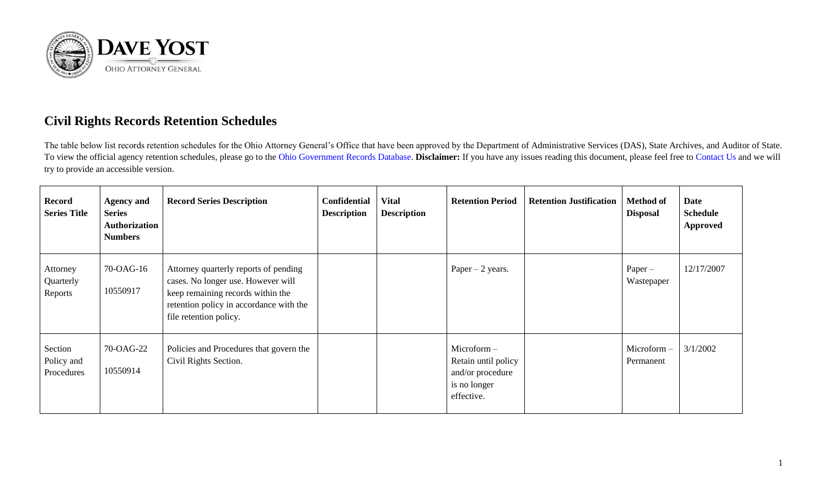

## **Civil Rights Records Retention Schedules**

The table below list records retention schedules for the Ohio Attorney General's Office that have been approved by the Department of Administrative Services (DAS), State Archives, and Auditor of State. To view the official agency retention schedules, please go to the [Ohio Government Records Database.](https://apps.das.ohio.gov/RIMS/GeneralSchedule) **Disclaimer:** If you have any issues reading this document, please feel free to [Contact Us](https://www.ohioattorneygeneral.gov/About-AG/Contact) and we will try to provide an accessible version.

| <b>Record</b><br><b>Series Title</b> | <b>Agency and</b><br><b>Series</b><br><b>Authorization</b><br><b>Numbers</b> | <b>Record Series Description</b>                                                                                                                                                      | <b>Confidential</b><br><b>Description</b> | <b>Vital</b><br><b>Description</b> | <b>Retention Period</b>                                                                | <b>Retention Justification</b> | <b>Method of</b><br><b>Disposal</b> | Date<br><b>Schedule</b><br><b>Approved</b> |
|--------------------------------------|------------------------------------------------------------------------------|---------------------------------------------------------------------------------------------------------------------------------------------------------------------------------------|-------------------------------------------|------------------------------------|----------------------------------------------------------------------------------------|--------------------------------|-------------------------------------|--------------------------------------------|
| Attorney<br>Quarterly<br>Reports     | 70-OAG-16<br>10550917                                                        | Attorney quarterly reports of pending<br>cases. No longer use. However will<br>keep remaining records within the<br>retention policy in accordance with the<br>file retention policy. |                                           |                                    | Paper $-2$ years.                                                                      |                                | $Paper -$<br>Wastepaper             | 12/17/2007                                 |
| Section<br>Policy and<br>Procedures  | 70-OAG-22<br>10550914                                                        | Policies and Procedures that govern the<br>Civil Rights Section.                                                                                                                      |                                           |                                    | $Microform -$<br>Retain until policy<br>and/or procedure<br>is no longer<br>effective. |                                | $Microform -$<br>Permanent          | 3/1/2002                                   |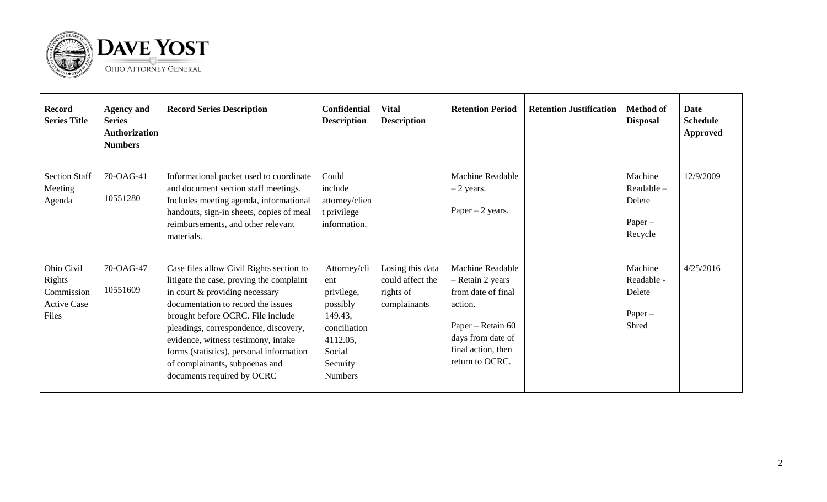

| <b>Record</b><br><b>Series Title</b>                              | <b>Agency and</b><br><b>Series</b><br><b>Authorization</b><br><b>Numbers</b> | <b>Record Series Description</b>                                                                                                                                                                                                                                                                                                                                                              | <b>Confidential</b><br><b>Description</b>                                                                                    | <b>Vital</b><br><b>Description</b>                                | <b>Retention Period</b>                                                                                                                                         | <b>Retention Justification</b> | <b>Method of</b><br><b>Disposal</b>                    | <b>Date</b><br><b>Schedule</b><br><b>Approved</b> |
|-------------------------------------------------------------------|------------------------------------------------------------------------------|-----------------------------------------------------------------------------------------------------------------------------------------------------------------------------------------------------------------------------------------------------------------------------------------------------------------------------------------------------------------------------------------------|------------------------------------------------------------------------------------------------------------------------------|-------------------------------------------------------------------|-----------------------------------------------------------------------------------------------------------------------------------------------------------------|--------------------------------|--------------------------------------------------------|---------------------------------------------------|
| <b>Section Staff</b><br>Meeting<br>Agenda                         | 70-OAG-41<br>10551280                                                        | Informational packet used to coordinate<br>and document section staff meetings.<br>Includes meeting agenda, informational<br>handouts, sign-in sheets, copies of meal<br>reimbursements, and other relevant<br>materials.                                                                                                                                                                     | Could<br>include<br>attorney/clien<br>t privilege<br>information.                                                            |                                                                   | <b>Machine Readable</b><br>$-2$ years.<br>Paper $-2$ years.                                                                                                     |                                | Machine<br>Readable-<br>Delete<br>$Paper -$<br>Recycle | 12/9/2009                                         |
| Ohio Civil<br>Rights<br>Commission<br><b>Active Case</b><br>Files | 70-OAG-47<br>10551609                                                        | Case files allow Civil Rights section to<br>litigate the case, proving the complaint<br>in court & providing necessary<br>documentation to record the issues<br>brought before OCRC. File include<br>pleadings, correspondence, discovery,<br>evidence, witness testimony, intake<br>forms (statistics), personal information<br>of complainants, subpoenas and<br>documents required by OCRC | Attorney/cli<br>ent<br>privilege,<br>possibly<br>149.43,<br>conciliation<br>4112.05,<br>Social<br>Security<br><b>Numbers</b> | Losing this data<br>could affect the<br>rights of<br>complainants | <b>Machine Readable</b><br>- Retain 2 years<br>from date of final<br>action.<br>Paper – Retain 60<br>days from date of<br>final action, then<br>return to OCRC. |                                | Machine<br>Readable -<br>Delete<br>$Paper -$<br>Shred  | 4/25/2016                                         |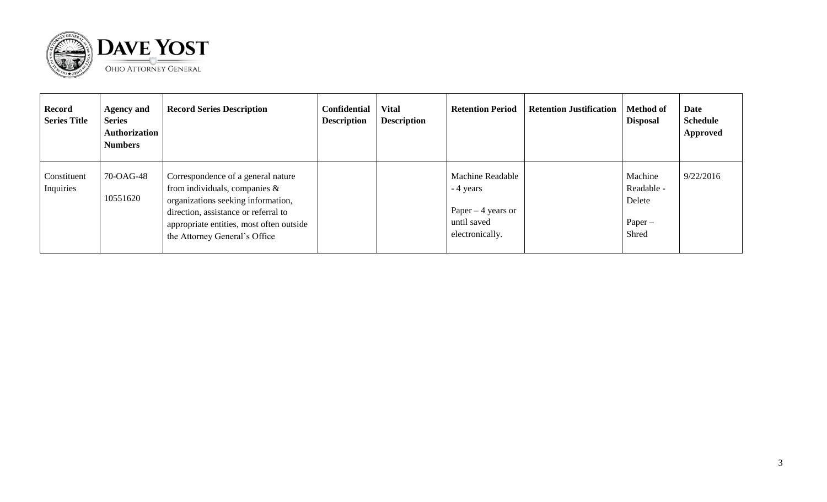

| <b>Record</b><br><b>Series Title</b> | <b>Agency and</b><br><b>Series</b><br>Authorization<br><b>Numbers</b> | <b>Record Series Description</b>                                                                                                                                                                                                  | <b>Confidential</b><br><b>Description</b> | <b>Vital</b><br><b>Description</b> | <b>Retention Period</b>                                                                       | <b>Retention Justification</b> | <b>Method of</b><br><b>Disposal</b>                   | Date<br><b>Schedule</b><br><b>Approved</b> |
|--------------------------------------|-----------------------------------------------------------------------|-----------------------------------------------------------------------------------------------------------------------------------------------------------------------------------------------------------------------------------|-------------------------------------------|------------------------------------|-----------------------------------------------------------------------------------------------|--------------------------------|-------------------------------------------------------|--------------------------------------------|
| Constituent<br>Inquiries             | 70-OAG-48<br>10551620                                                 | Correspondence of a general nature<br>from individuals, companies $\&$<br>organizations seeking information,<br>direction, assistance or referral to<br>appropriate entities, most often outside<br>the Attorney General's Office |                                           |                                    | <b>Machine Readable</b><br>- 4 years<br>Paper $-4$ years or<br>until saved<br>electronically. |                                | Machine<br>Readable -<br>Delete<br>$Paper -$<br>Shred | 9/22/2016                                  |